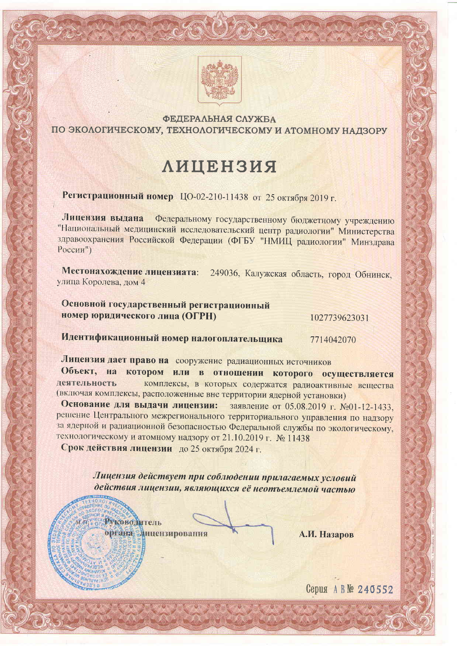

### ФЕДЕРАЛЬНАЯ СЛУЖБА ПО ЭКОЛОГИЧЕСКОМУ, ТЕХНОЛОГИЧЕСКОМУ И АТОМНОМУ НАДЗОРУ

# **ЛИЦЕНЗИЯ**

Регистрационный номер ЦО-02-210-11438 от 25 октября 2019 г.

Лицензия выдана Федеральному государственному бюджетному учреждению "Национальный медицинский исследовательский центр радиологии" Министерства здравоохранения Российской Федерации (ФГБУ "НМИЦ радиологии" Минздрава  $Pocс<sub>HH</sub><sup>n</sup>$ )

Местонахождение лицензиата: 249036, Калужская область, город Обнинск, улица Королева, дом 4

Основной государственный регистрационный номер юридического лица (ОГРН)

1027739623031

Идентификационный номер налогоплательщика 7714042070

Лицензия дает право на сооружение радиационных источников Объект, на котором или в отношении которого осуществляется

деятельность комплексы, в которых содержатся радиоактивные вещества (включая комплексы, расположенные вне территории ядерной установки)

Основание для выдачи лицензии: заявление от 05.08.2019 г. №01-12-1433. решение Центрального межрегионального территориального управления по надзору за ядерной и радиационной безопасностью Федеральной службы по экологическому, технологическому и атомному надзору от 21.10.2019 г. № 11438

Срок действия лицензии до 25 октября 2024 г.

Лицензия действует при соблюдении прилагаемых условий действия лицензии, являющихся её неотъемлемой частью

**Руководитель** органа дицензирования

ur m

А.И. Назаров

Серия АВ№ 240552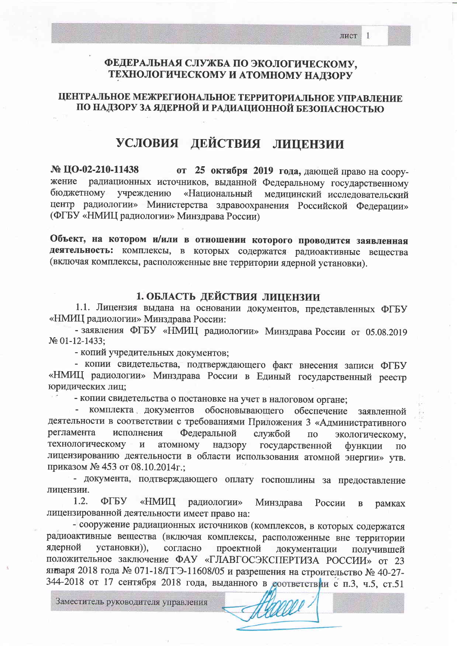$\mathbf{1}$ 

### ФЕДЕРАЛЬНАЯ СЛУЖБА ПО ЭКОЛОГИЧЕСКОМУ. ТЕХНОЛОГИЧЕСКОМУ И АТОМНОМУ НАДЗОРУ

### ЦЕНТРАЛЬНОЕ МЕЖРЕГИОНАЛЬНОЕ ТЕРРИТОРИАЛЬНОЕ УПРАВЛЕНИЕ ПО НАДЗОРУ ЗА ЯДЕРНОЙ И РАДИАЦИОННОЙ БЕЗОПАСНОСТЬЮ

## УСЛОВИЯ ДЕЙСТВИЯ ЛИЦЕНЗИИ

 $\mathbb{N}$  IIO-02-210-11438 от 25 октября 2019 года, дающей право на соорурадиационных источников, выданной Федеральному государственному жение бюджетному учреждению «Национальный медицинский исследовательский центр радиологии» Министерства здравоохранения Российской Федерации» (ФГБУ «НМИЦ радиологии» Минздрава России)

Объект, на котором и/или в отношении которого проводится заявленная деятельность: комплексы, в которых содержатся радиоактивные вещества (включая комплексы, расположенные вне территории ядерной установки).

### 1. ОБЛАСТЬ ДЕЙСТВИЯ ЛИЦЕНЗИИ

1.1. Лицензия выдана на основании документов, представленных ФГБУ «НМИЦ радиологии» Минздрава России:

- заявления ФГБУ «НМИЦ радиологии» Минздрава России от 05.08.2019 No 01-12-1433:

- копий учредительных документов;

- копии свидетельства, подтверждающего факт внесения записи ФГБУ «НМИЦ радиологии» Минздрава России в Единый государственный реестр юридических лиц;

- копии свидетельства о постановке на учет в налоговом органе;

комплекта документов обосновывающего обеспечение  $\overline{\phantom{a}}$ заявленной деятельности в соответствии с требованиями Приложения 3 «Административного регламента исполнения Федеральной службой  $\overline{10}$ экологическому, технологическому атомному  $\,$  M надзору государственной функции  $\Pi$ <sup>O</sup> лицензированию деятельности в области использования атомной энергии» утв. приказом № 453 от 08.10.2014г.;

- документа, подтверждающего оплату госпошлины за предоставление лицензии.

 $1.2.$ ФГБУ «НМИЦ радиологии» Минздрава России  $\, {\bf B}$ рамках лицензированной деятельности имеет право на:

- сооружение радиационных источников (комплексов, в которых содержатся радиоактивные вещества (включая комплексы, расположенные вне территории ядерной установки)), согласно проектной документации получившей положительное заключение ФАУ «ГЛАВГОСЭКСПЕРТИЗА РОССИИ» от 23 января 2018 года № 071-18/ГГЭ-11608/05 и разрешения на строительство № 40-27-344-2018 от 17 сентября 2018 года, выданного в доответствии с п.3, ч.5, ст.51

Заместитель руководителя управления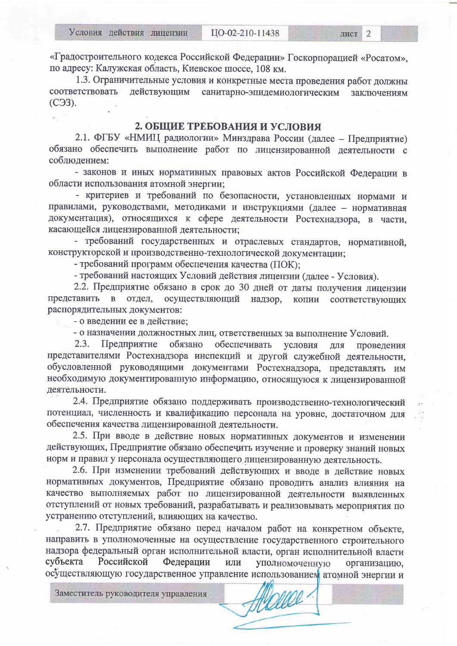«Градостроительного кодекса Российской Федерации» Госкорпорацией «Росатом», по адресу: Калужская область, Киевское шоссе, 108 км.

1.3. Ограничительные условия и конкретные места проведения работ должны соответствовать действующим санитарно-эпидемиологическим заключениям (СЭЗ).

### 2. ОБЩИЕ ТРЕБОВАНИЯ И УСЛОВИЯ

2.1. ФГБУ «НМИЦ радиологии» Минздрава России (далее - Предприятие) обязано обеспечить выполнение работ по лицензированной деятельности с соблюдением:

- законов и иных нормативных правовых актов Российской Фелерации в области использования атомной энергии;

- критериев и требований по безопасности, установленных нормами и правилами, руководствами, методиками и инструкциями (далее - нормативная документация), относящихся к сфере деятельности Ростехнадзора, в части, касающейся лицензированной деятельности;

- требований государственных и отраслевых стандартов, нормативной, конструкторской и производственно-технологической документации;

- требований программ обеспечения качества (ПОК):

- требований настоящих Условий действия лицензии (далее - Условия).

2.2. Предприятие обязано в срок до 30 дней от даты получения лицензии представить в отдел, осуществляющий надзор, копии соответствующих распорядительных документов:

- о введении ее в действие;

- о назначении должностных лиц, ответственных за выполнение Условий.

 $2.3.$ Предприятие обязано обеспечивать условия ДЛЯ проведения представителями Ростехнадзора инспекций и другой служебной деятельности, обусловленной руководящими документами Ростехнадзора, представлять им необходимую документированную информацию, относящуюся к лицензированной деятельности.

2.4. Предприятие обязано поддерживать производственно-технологический потенциал, численность и квалификацию персонала на уровне, достаточном для обеспечения качества лицензированной деятельности.

2.5. При вводе в действие новых нормативных документов и изменении действующих, Предприятие обязано обеспечить изучение и проверку знаний новых норм и правил у персонала осуществляющего лицензированную деятельность.

2.6. При изменении требований действующих и вводе в действие новых нормативных документов, Предприятие обязано проводить анализ влияния на качество выполняемых работ по лицензированной деятельности выявленных отступлений от новых требований, разрабатывать и реализовывать мероприятия по устранению отступлений, влияющих на качество.

2.7. Предприятие обязано перед началом работ на конкретном объекте, направить в уполномоченные на осуществление государственного строительного надзора федеральный орган исполнительной власти, орган исполнительной власти субъекта Российской Федерации или уполномоченную организацию, осуществляющую государственное управление использованием атомной энергии и

Заместитель руководителя управления

HUOLLO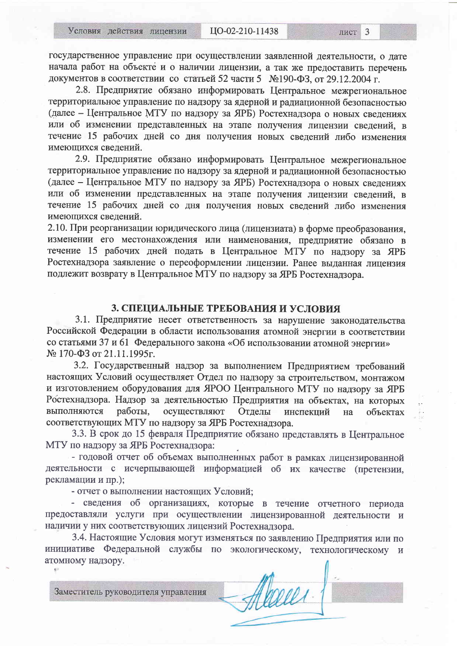государственное управление при осуществлении заявленной деятельности, о дате начала работ на объекте и о наличии лицензии, а так же предоставить перечень документов в соответствии со статьей 52 части 5 №190-ФЗ, от 29.12.2004 г.

2.8. Предприятие обязано информировать Центральное межрегиональное территориальное управление по надзору за ядерной и радиационной безопасностью (далее - Центральное МТУ по надзору за ЯРБ) Ростехнадзора о новых сведениях или об изменении представленных на этапе получения лицензии сведений. в течение 15 рабочих дней со дня получения новых сведений либо изменения имеющихся сведений.

2.9. Предприятие обязано информировать Центральное межрегиональное территориальное управление по надзору за ядерной и радиационной безопасностью (далее – Центральное МТУ по надзору за ЯРБ) Ростехнадзора о новых сведениях или об изменении представленных на этапе получения лицензии сведений, в течение 15 рабочих дней со дня получения новых сведений либо изменения имеющихся сведений.

2.10. При реорганизации юридического лица (лицензиата) в форме преобразования, изменении его местонахождения или наименования, предприятие обязано в течение 15 рабочих дней подать в Центральное МТУ по надзору за ЯРБ Ростехнадзора заявление о переоформлении лицензии. Ранее выданная лицензия подлежит возврату в Центральное МТУ по надзору за ЯРБ Ростехнадзора.

#### 3. СПЕЦИАЛЬНЫЕ ТРЕБОВАНИЯ И УСЛОВИЯ

3.1. Предприятие несет ответственность за нарушение законодательства Российской Федерации в области использования атомной энергии в соответствии со статьями 37 и 61 Федерального закона «Об использовании атомной энергии» № 170-ФЗ от 21.11.1995г.

3.2. Государственный надзор за выполнением Предприятием требований настоящих Условий осуществляет Отдел по надзору за строительством, монтажом и изготовлением оборудования для ЯРОО Центрального МТУ по надзору за ЯРБ Ростехнадзора. Надзор за деятельностью Предприятия на объектах, на которых выполняются работы, осуществляют Отделы инспекций на объектах соответствующих МТУ по надзору за ЯРБ Ростехнадзора.

3.3. В срок до 15 февраля Предприятие обязано представлять в Центральное МТУ по надзору за ЯРБ Ростехнадзора:

- годовой отчет об объемах выполненных работ в рамках лицензированной деятельности с исчерпывающей информацией об их качестве (претензии, рекламации и пр.);

- отчет о выполнении настоящих Условий;

- сведения об организациях, которые в течение отчетного периода предоставляли услуги при осуществлении лицензированной деятельности и наличии у них соответствующих лицензий Ростехнадзора.

3.4. Настоящие Условия могут изменяться по заявлению Предприятия или по инициативе Федеральной службы по экологическому, технологическому и атомному надзору.

Alexees ,

Заместитель руководителя управления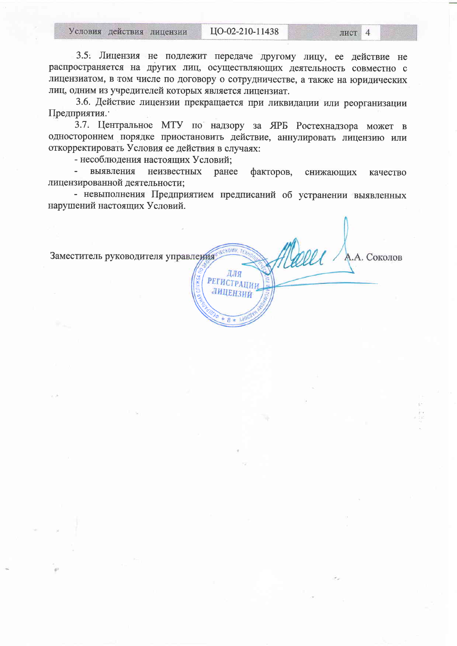3.5. Лицензия не подлежит передаче другому лицу, ее действие не распространяется на других лиц, осуществляющих деятельность совместно с лицензиатом, в том числе по договору о сотрудничестве, а также на юридических лиц, одним из учредителей которых является лицензиат.

3.6. Действие лицензии прекращается при ликвидации или реорганизации Предприятия.

3.7. Центральное МТУ по надзору за ЯРБ Ростехнадзора может в одностороннем порядке приостановить действие, аннулировать лицензию или откорректировать Условия ее действия в случаях:

- несоблюдения настоящих Условий;

 $\Delta \sim 10^{-11}$ выявления неизвестных ранее факторов, снижающих качество лицензированной деятельности:

- невыполнения Предприятием предписаний об устранении выявленных нарушений настоящих Условий.

poel Заместитель руководителя управления А.А. Соколов ДЛЯ РЕГИСТРАЦИИ ЛИЦЕНЗИЙ